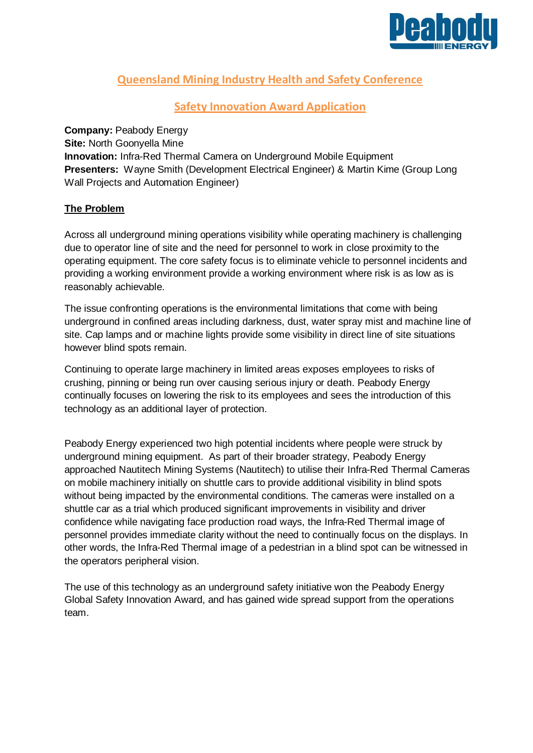

# **Queensland Mining Industry Health and Safety Conference**

# **Safety Innovation Award Application**

**Company: Peabody Energy Site:** North Goonyella Mine **Innovation:** Infra-Red Thermal Camera on Underground Mobile Equipment **Presenters:** Wayne Smith (Development Electrical Engineer) & Martin Kime (Group Long Wall Projects and Automation Engineer)

### **The Problem**

Across all underground mining operations visibility while operating machinery is challenging due to operator line of site and the need for personnel to work in close proximity to the operating equipment. The core safety focus is to eliminate vehicle to personnel incidents and providing a working environment provide a working environment where risk is as low as is reasonably achievable.

The issue confronting operations is the environmental limitations that come with being underground in confined areas including darkness, dust, water spray mist and machine line of site. Cap lamps and or machine lights provide some visibility in direct line of site situations however blind spots remain.

Continuing to operate large machinery in limited areas exposes employees to risks of crushing, pinning or being run over causing serious injury or death. Peabody Energy continually focuses on lowering the risk to its employees and sees the introduction of this technology as an additional layer of protection.

Peabody Energy experienced two high potential incidents where people were struck by underground mining equipment. As part of their broader strategy, Peabody Energy approached Nautitech Mining Systems (Nautitech) to utilise their Infra-Red Thermal Cameras on mobile machinery initially on shuttle cars to provide additional visibility in blind spots without being impacted by the environmental conditions. The cameras were installed on a shuttle car as a trial which produced significant improvements in visibility and driver confidence while navigating face production road ways, the Infra-Red Thermal image of personnel provides immediate clarity without the need to continually focus on the displays. In other words, the Infra-Red Thermal image of a pedestrian in a blind spot can be witnessed in the operators peripheral vision.

The use of this technology as an underground safety initiative won the Peabody Energy Global Safety Innovation Award, and has gained wide spread support from the operations team.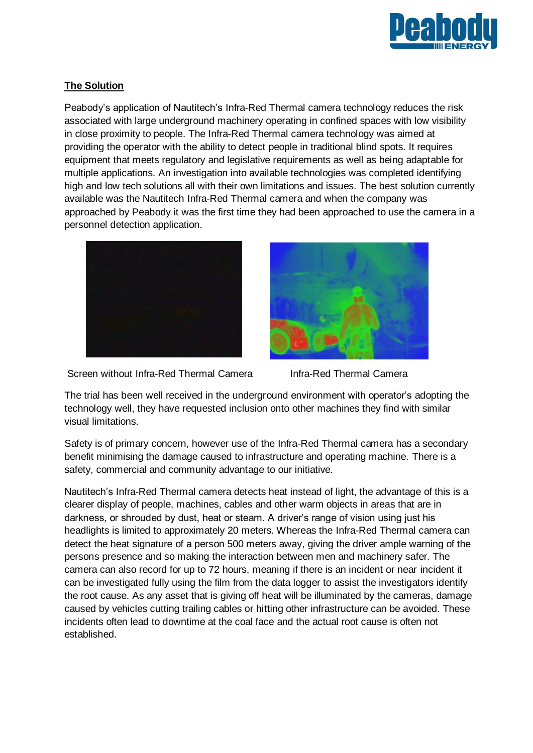

## **The Solution**

Peabody's application of Nautitech's Infra-Red Thermal camera technology reduces the risk associated with large underground machinery operating in confined spaces with low visibility in close proximity to people. The Infra-Red Thermal camera technology was aimed at providing the operator with the ability to detect people in traditional blind spots. It requires equipment that meets regulatory and legislative requirements as well as being adaptable for multiple applications. An investigation into available technologies was completed identifying high and low tech solutions all with their own limitations and issues. The best solution currently available was the Nautitech Infra-Red Thermal camera and when the company was approached by Peabody it was the first time they had been approached to use the camera in a personnel detection application.





Screen without Infra-Red Thermal Camera Infra-Red Thermal Camera

The trial has been well received in the underground environment with operator's adopting the technology well, they have requested inclusion onto other machines they find with similar visual limitations.

Safety is of primary concern, however use of the Infra-Red Thermal camera has a secondary benefit minimising the damage caused to infrastructure and operating machine. There is a safety, commercial and community advantage to our initiative.

Nautitech's Infra-Red Thermal camera detects heat instead of light, the advantage of this is a clearer display of people, machines, cables and other warm objects in areas that are in darkness, or shrouded by dust, heat or steam. A driver's range of vision using just his headlights is limited to approximately 20 meters. Whereas the Infra-Red Thermal camera can detect the heat signature of a person 500 meters away, giving the driver ample warning of the persons presence and so making the interaction between men and machinery safer. The camera can also record for up to 72 hours, meaning if there is an incident or near incident it can be investigated fully using the film from the data logger to assist the investigators identify the root cause. As any asset that is giving off heat will be illuminated by the cameras, damage caused by vehicles cutting trailing cables or hitting other infrastructure can be avoided. These incidents often lead to downtime at the coal face and the actual root cause is often not established.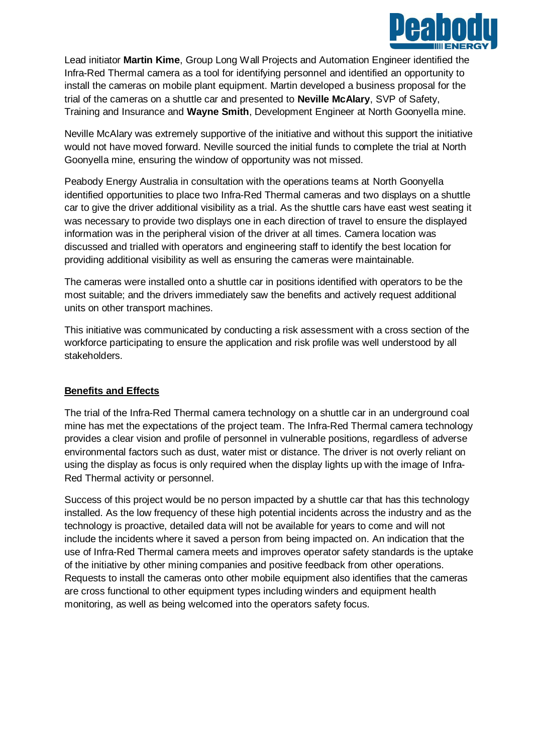

Lead initiator **Martin Kime**, Group Long Wall Projects and Automation Engineer identified the Infra-Red Thermal camera as a tool for identifying personnel and identified an opportunity to install the cameras on mobile plant equipment. Martin developed a business proposal for the trial of the cameras on a shuttle car and presented to **Neville McAlary**, SVP of Safety, Training and Insurance and **Wayne Smith**, Development Engineer at North Goonyella mine.

Neville McAlary was extremely supportive of the initiative and without this support the initiative would not have moved forward. Neville sourced the initial funds to complete the trial at North Goonyella mine, ensuring the window of opportunity was not missed.

Peabody Energy Australia in consultation with the operations teams at North Goonyella identified opportunities to place two Infra-Red Thermal cameras and two displays on a shuttle car to give the driver additional visibility as a trial. As the shuttle cars have east west seating it was necessary to provide two displays one in each direction of travel to ensure the displayed information was in the peripheral vision of the driver at all times. Camera location was discussed and trialled with operators and engineering staff to identify the best location for providing additional visibility as well as ensuring the cameras were maintainable.

The cameras were installed onto a shuttle car in positions identified with operators to be the most suitable; and the drivers immediately saw the benefits and actively request additional units on other transport machines.

This initiative was communicated by conducting a risk assessment with a cross section of the workforce participating to ensure the application and risk profile was well understood by all stakeholders.

### **Benefits and Effects**

The trial of the Infra-Red Thermal camera technology on a shuttle car in an underground coal mine has met the expectations of the project team. The Infra-Red Thermal camera technology provides a clear vision and profile of personnel in vulnerable positions, regardless of adverse environmental factors such as dust, water mist or distance. The driver is not overly reliant on using the display as focus is only required when the display lights up with the image of Infra-Red Thermal activity or personnel.

Success of this project would be no person impacted by a shuttle car that has this technology installed. As the low frequency of these high potential incidents across the industry and as the technology is proactive, detailed data will not be available for years to come and will not include the incidents where it saved a person from being impacted on. An indication that the use of Infra-Red Thermal camera meets and improves operator safety standards is the uptake of the initiative by other mining companies and positive feedback from other operations. Requests to install the cameras onto other mobile equipment also identifies that the cameras are cross functional to other equipment types including winders and equipment health monitoring, as well as being welcomed into the operators safety focus.